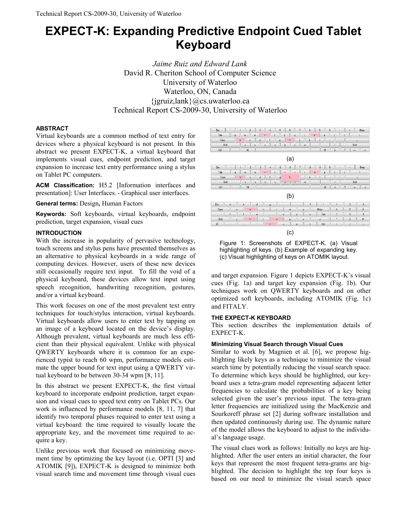# **EXPECT-K: Expanding Predictive Endpoint Cued Tablet Keyboard**

*Jaime Ruiz and Edward Lank*  David R. Cheriton School of Computer Science University of Waterloo Waterloo, ON, Canada  $\{$ igruiz, $\{$ lank $\}$ @cs.uwaterloo.ca Technical Report CS-2009-30, University of Waterloo

## **ABSTRACT**

Virtual keyboards are a common method of text entry for devices where a physical keyboard is not present. In this abstract we present EXPECT-K, a virtual keyboard that implements visual cues, endpoint prediction, and target expansion to increase text entry performance using a stylus on Tablet PC computers.

**ACM Classification:** H5.2 [Information interfaces and presentation]: User Interfaces.- Graphical user interfaces.

**General terms:** Design**,** Human Factors

**Keywords:** Soft keyboards, virtual keyboards, endpoint prediction, target expansion, visual cues

### **INTRODUCTION**

With the increase in popularity of pervasive technology, touch screens and stylus pens have presented themselves as an alternative to physical keyboards in a wide range of computing devices. However, users of these new devices still occasionally require text input. To fill the void of a physical keyboard, these devices allow text input using speech recognition, handwriting recognition, gestures, and/or a virtual keyboard.

This work focuses on one of the most prevalent text entry techniques for touch/stylus interaction, virtual keyboards. Virtual keyboards allow users to enter text by tapping on an image of a keyboard located on the device's display. Although prevalent, virtual keyboards are much less efficient than their physical equivalent. Unlike with physical QWERTY keyboards where it is common for an experienced typist to reach 60 wpm, performance models estimate the upper bound for text input using a QWERTY virtual keyboard to be between 30-34 wpm [8, 11].

In this abstract we present EXPECT-K, the first virtual keyboard to incorporate endpoint prediction, target expansion and visual cues to speed text entry on Tablet PCs. Our work is influenced by performance models [8, 11, 7] that identify two temporal phases required to enter text using a virtual keyboard: the time required to visually locate the appropriate key, and the movement time required to acquire a key.

Unlike previous work that focused on minimizing movement time by optimizing the key layout (i.e. OPTI [3] and ATOMIK [9]), EXPECT-K is designed to minimize both visual search time and movement time through visual cues



Figure 1: Screenshots of EXPECT-K. (a) Visual highlighting of keys. (b) Example of expanding key. (c) Visual highlighting of keys on ATOMIK layout.

and target expansion. Figure 1 depicts EXPECT-K's visual cues (Fig. 1a) and target key expansion (Fig. 1b). Our techniques work on QWERTY keyboards and on other optimized soft keyboards, including ATOMIK (Fig. 1c) and FITALY.

## **THE EXPECT-K KEYBOARD**

This section describes the implementation details of EXPECT-K.

## **Minimizing Visual Search through Visual Cues**

Similar to work by Magnien et al. [6], we propose highlighting likely keys as a technique to minimize the visual search time by potentially reducing the visual search space. To determine which keys should be highlighted, our keyboard uses a tetra-gram model representing adjacent letter frequencies to calculate the probabilities of a key being selected given the user's previous input. The tetra-gram letter frequencies are initialized using the MacKenzie and Sourkoreff phrase set [2] during software installation and then updated continuously during use. The dynamic nature of the model allows the keyboard to adjust to the individual's language usage.

The visual clues work as follows: Initially no keys are highlighted. After the user enters an initial character, the four keys that represent the most frequent tetra-grams are highlighted. The decision to highlight the top four keys is based on our need to minimize the visual search space